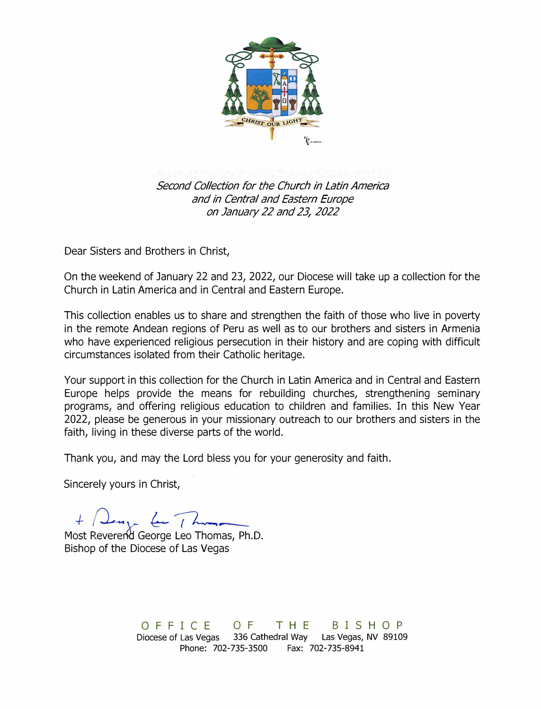

*Second Collection for the Church in Latin America*  and *in Central and Eastern Europe on January 22 and 23/ 2022* 

Dear Sisters and Brothers in Christ,

On the weekend of January 22 and 23, 2022, our Diocese will take up a collection for the Church in Latin America and in Central and Eastern Europe.

This collection enables us to share and strengthen the faith of those who live in poverty in the remote Andean regions of Peru as well as to our brothers and sisters in Armenia who have experienced religious persecution in their history and are coping with difficult circumstances isolated from their Catholic heritage.

Your support in this collection for the Church in Latin America and in Central and Eastern Europe helps provide the means for rebuilding churches, strengthening seminary programs, and offering religious education to children and families. In this New Year 2022, please be generous in your missionary outreach to our brothers and sisters in the faith, living in these diverse parts of the world.

Thank you, and may the Lord bless you for your generosity and faith.

Sincerely yours in Christ,

Most *-+-(L* RevererW *y-*George *&-�-* Leo Thomas, Ph.D.

Bishop of the Diocese of Las Vegas